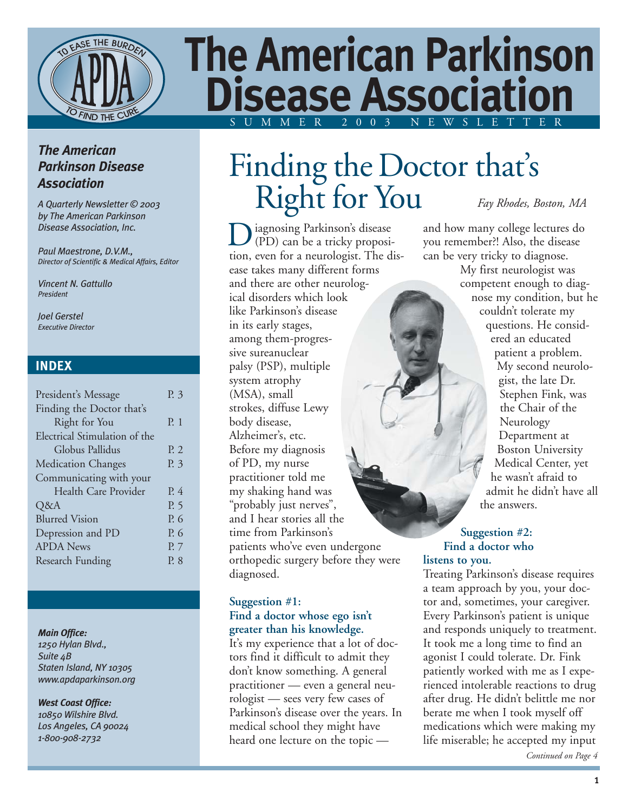

# **The American Parkinson Disease Association** SUMMER 2003 NEWSLETTER

#### *The American Parkinson Disease Association*

*A Quarterly Newsletter © 2003 by The American Parkinson Disease Association, Inc.*

*Paul Maestrone, D.V.M., Director of Scientific & Medical Affairs, Editor*

*Vincent N. Gattullo President*

*Joel Gerstel Executive Director*

#### **INDEX**

| President's Message           | P. 3      |
|-------------------------------|-----------|
| Finding the Doctor that's     |           |
| Right for You                 | $P_{1}$ 1 |
| Electrical Stimulation of the |           |
| Globus Pallidus               | P. 2      |
| <b>Medication Changes</b>     | P. 3      |
| Communicating with your       |           |
| Health Care Provider          | P. 4      |
| Q&A                           | P. 5      |
| <b>Blurred Vision</b>         | P. 6      |
| Depression and PD             | P. 6      |
| <b>APDA</b> News              | P. 7      |
| <b>Research Funding</b>       | P. 8      |
|                               |           |

#### *Main Office:*

*1250 Hylan Blvd., Suite 4B Staten Island, NY 10305 www.apdaparkinson.org*

*West Coast Office: 10850 Wilshire Blvd. Los Angeles, CA 90024 1-800-908-2732*

# Finding the Doctor that's Right for You *Fay Rhodes, Boston, MA*

iagnosing Parkinson's disease (PD) can be a tricky proposi-**D** iagnosing Parkinson's disease<br>(PD) can be a tricky proposi-<br>tion, even for a neurologist. The disease takes many different forms and there are other neurological disorders which look like Parkinson's disease in its early stages, among them-progressive sureanuclear palsy (PSP), multiple system atrophy (MSA), small strokes, diffuse Lewy body disease, Alzheimer's, etc. Before my diagnosis of PD, my nurse practitioner told me my shaking hand was "probably just nerves", and I hear stories all the time from Parkinson's patients who've even undergone orthopedic surgery before they were diagnosed.

#### **Suggestion #1: Find a doctor whose ego isn't greater than his knowledge.**

It's my experience that a lot of doctors find it difficult to admit they don't know something. A general practitioner — even a general neurologist — sees very few cases of Parkinson's disease over the years. In medical school they might have heard one lecture on the topic —

and how many college lectures do you remember?! Also, the disease can be very tricky to diagnose.

> My first neurologist was competent enough to diagnose my condition, but he couldn't tolerate my questions. He considered an educated patient a problem. My second neurologist, the late Dr. Stephen Fink, was the Chair of the Neurology Department at Boston University Medical Center, yet he wasn't afraid to admit he didn't have all the answers.

#### **Suggestion #2: Find a doctor who listens to you.**

Treating Parkinson's disease requires a team approach by you, your doctor and, sometimes, your caregiver. Every Parkinson's patient is unique and responds uniquely to treatment. It took me a long time to find an agonist I could tolerate. Dr. Fink patiently worked with me as I experienced intolerable reactions to drug after drug. He didn't belittle me nor berate me when I took myself off medications which were making my life miserable; he accepted my input

*Continued on Page 4*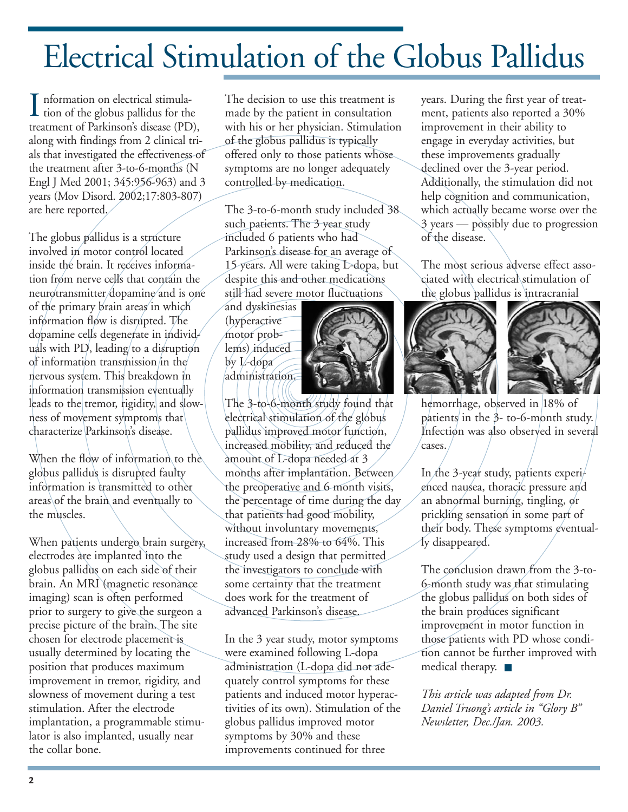# Electrical Stimulation of the Globus Pallidus

nformation on electrical stimula- $\prod_{i=1}^{n} \text{information on electrical stimulus} \text{for the globus pallidus for the } \binom{n}{n}$ treatment of Parkinson's disease (PD), along with findings from 2 clinical trials that investigated the effectiveness of the treatment after 3-to-6-months (N Engl J Med 2001; 345:956-963) and 3 years (Mov Disord. 2002;17:803-807) are here reported.

The globus pallidus is a structure involved in motor control located inside the brain. It receives information from nerve cells that contain the neurotransmitter dopamine and is one of the primary brain areas in which information flow is disrupted. The dopamine cells degenerate in individuals with  $PD$ , leading to a disruption of information transmission in the nervous system. This breakdown in information transmission eventually leads to the tremor, rigidity, and slowness of movement symptoms that characterize Parkinson's disease.

When the flow of information to the globus pallidus is disrupted faulty information is transmitted to other areas of the brain and eventually to the muscles.

When patients undergo brain surgery, electrodes are implanted into the globus pallidus on each side of their brain. An MRI (magnetic resonance imaging) scan is often performed prior to surgery to give the surgeon a precise picture of the brain. The site chosen for electrode placement is usually determined by locating the position that produces maximum improvement in tremor, rigidity, and slowness of movement during a test stimulation. After the electrode implantation, a programmable stimulator is also implanted, usually near the collar bone.

The decision to use this treatment is made by the patient in consultation with his or her physician. Stimulation of the globus pallidus is typically offered only to those patients whose symptoms are no longer adequately controlled by medication.

The 3-to-6-month study included 38 such patients. The 3 year study included 6 patients who had Parkinson's disease for an average of 15 years. All were taking L-dopa, but despite this and other medications still had severe motor fluctuations

and dyskinesias (hyperactive motor problems) induced by L-dopa administration.



The 3-to-6-month study found that electrical stimulation of the globus pallidus improved motor function, increased mobility, and reduced the amount of L-dopa needed at 3 months after implantation. Between the preoperative and 6 month visits, the percentage of time during the day that patients had good mobility, without involuntary movements, increased from 28% to 64%. This study used a design that permitted the investigators to conclude with some certainty that the treatment does work for the treatment of advanced Parkinson's disease.

In the 3 year study, motor symptoms were examined following L-dopa administration (L-dopa did not adequately control symptoms for these patients and induced motor hyperactivities of its own). Stimulation of the globus pallidus improved motor symptoms by 30% and these improvements continued for three

years. During the first year of treatment, patients also reported a 30% improvement in their ability to engage in everyday activities, but these improvements gradually declined over the 3-year period. Additionally, the stimulation did not help cognition and communication, which actually became worse over the 3 years — possibly due to progression of the disease.

The most serious adverse effect associated with electrical stimulation of the globus pallidus is intracranial



hemorrhage, observed in 18% of patients in the 3- to-6-month study. Infection was also observed in several cases.

In the 3-year study, patients experienced nausea, thoracic pressure and an abnormal burning, tingling, or prickling sensation in some part of their body. These symptoms eventually disappeared.

The conclusion drawn from the 3-to-6-month study was that stimulating the globus pallidus on both sides of the brain produces significant improvement in motor function in those patients with PD whose condition cannot be further improved with medical therapy. ■

*This article was adapted from Dr. Daniel Truong's article in "Glory B" Newsletter, Dec./Jan. 2003.*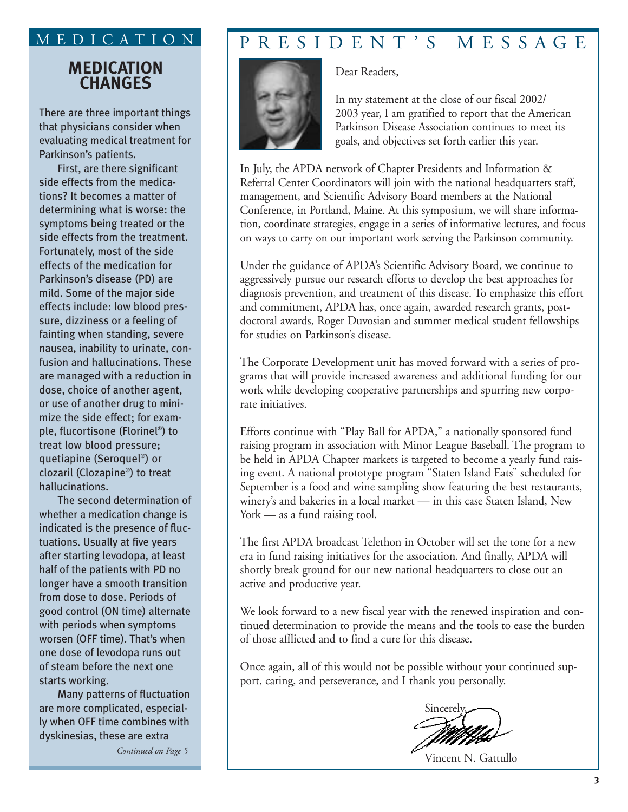#### **MEDICATION CHANGES**

There are three important things that physicians consider when evaluating medical treatment for Parkinson's patients.

First, are there significant side effects from the medications? It becomes a matter of determining what is worse: the symptoms being treated or the side effects from the treatment. Fortunately, most of the side effects of the medication for Parkinson's disease (PD) are mild. Some of the major side effects include: low blood pressure, dizziness or a feeling of fainting when standing, severe nausea, inability to urinate, confusion and hallucinations. These are managed with a reduction in dose, choice of another agent, or use of another drug to minimize the side effect; for example, flucortisone (Florinel®) to treat low blood pressure; quetiapine (Seroquel®) or clozaril (Clozapine®) to treat hallucinations.

The second determination of whether a medication change is indicated is the presence of fluctuations. Usually at five years after starting levodopa, at least half of the patients with PD no longer have a smooth transition from dose to dose. Periods of good control (ON time) alternate with periods when symptoms worsen (OFF time). That's when one dose of levodopa runs out of steam before the next one starts working.

Many patterns of fluctuation are more complicated, especially when OFF time combines with dyskinesias, these are extra

*Continued on Page 5*

### MEDICATION PRESIDENT'S MESSAGE

Dear Readers,



In my statement at the close of our fiscal 2002/ 2003 year, I am gratified to report that the American Parkinson Disease Association continues to meet its goals, and objectives set forth earlier this year.

In July, the APDA network of Chapter Presidents and Information & Referral Center Coordinators will join with the national headquarters staff, management, and Scientific Advisory Board members at the National Conference, in Portland, Maine. At this symposium, we will share information, coordinate strategies, engage in a series of informative lectures, and focus on ways to carry on our important work serving the Parkinson community.

Under the guidance of APDA's Scientific Advisory Board, we continue to aggressively pursue our research efforts to develop the best approaches for diagnosis prevention, and treatment of this disease. To emphasize this effort and commitment, APDA has, once again, awarded research grants, postdoctoral awards, Roger Duvosian and summer medical student fellowships for studies on Parkinson's disease.

The Corporate Development unit has moved forward with a series of programs that will provide increased awareness and additional funding for our work while developing cooperative partnerships and spurring new corporate initiatives.

Efforts continue with "Play Ball for APDA," a nationally sponsored fund raising program in association with Minor League Baseball. The program to be held in APDA Chapter markets is targeted to become a yearly fund raising event. A national prototype program "Staten Island Eats" scheduled for September is a food and wine sampling show featuring the best restaurants, winery's and bakeries in a local market — in this case Staten Island, New York — as a fund raising tool.

The first APDA broadcast Telethon in October will set the tone for a new era in fund raising initiatives for the association. And finally, APDA will shortly break ground for our new national headquarters to close out an active and productive year.

We look forward to a new fiscal year with the renewed inspiration and continued determination to provide the means and the tools to ease the burden of those afflicted and to find a cure for this disease.

Once again, all of this would not be possible without your continued support, caring, and perseverance, and I thank you personally.



Vincent N. Gattullo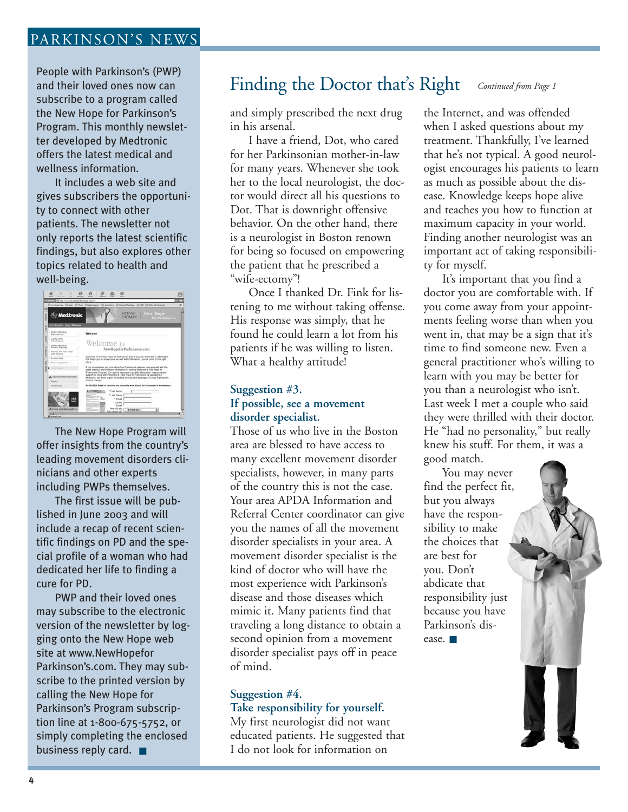#### PARKINSON'S NEWS

People with Parkinson's (PWP) and their loved ones now can subscribe to a program called the New Hope for Parkinson's Program. This monthly newsletter developed by Medtronic offers the latest medical and wellness information.

It includes a web site and gives subscribers the opportunity to connect with other patients. The newsletter not only reports the latest scientific findings, but also explores other topics related to health and well-being.

| 13 Alla Chicago Beachteachd Farbannas com Call | Contractor Class O has Class twell. Class for Citizenships Clinic Clinical Instant                                                                                                                                                                 |  |  |
|------------------------------------------------|----------------------------------------------------------------------------------------------------------------------------------------------------------------------------------------------------------------------------------------------------|--|--|
| <b>Medtronic</b>                               | New Hope<br><b>ACTIVA®</b><br>THERAPY<br><b>Los Parkittanes</b>                                                                                                                                                                                    |  |  |
| <b>Cored Scales - Three - Walkers</b>          |                                                                                                                                                                                                                                                    |  |  |
| 1 Medicistanding<br>Parkinssor's               | Welcome                                                                                                                                                                                                                                            |  |  |
| Lining with<br><b>Parkinson's</b>              |                                                                                                                                                                                                                                                    |  |  |
| 1 Similar Atlantica<br>Autors Therapy          | Welcome to<br>NewHopeforParkinsons.com<br>Welcome to the New Hope for Parkinson's site. If you are interested in information<br>that helps you or a loved one los well with Parkmaun's, you've come to the right                                   |  |  |
| Toking the next step<br>with Antive            |                                                                                                                                                                                                                                                    |  |  |
| 1 Contact Us                                   |                                                                                                                                                                                                                                                    |  |  |
| I Find a physician                             | stara.                                                                                                                                                                                                                                             |  |  |
|                                                | If you or someone you care about has Parkinson's disease, win yourself with the<br>latest modical and wellness information by poning Medinimit's New Highs for<br>Parkinson's Program. Our scal is to provide you with information, resolution and |  |  |
| di, Important Bahdy Inform                     | support for large with Parkinson's. New Hope for Parkinson's is operated by<br>Marknool, the world teader in medical descres and dissiness of Active Parkment's<br>Control Therapy                                                                 |  |  |
| Pricero<br>Service of Links                    | <b>REGISTER NOW to receive the monthly New Hepe for Parkinson's Newsletter.</b>                                                                                                                                                                    |  |  |
|                                                | + Pust Name                                                                                                                                                                                                                                        |  |  |
|                                                | * Last Name                                                                                                                                                                                                                                        |  |  |
|                                                | 1 Email                                                                                                                                                                                                                                            |  |  |
|                                                | + Cantine                                                                                                                                                                                                                                          |  |  |
|                                                | <b>French</b>                                                                                                                                                                                                                                      |  |  |

The New Hope Program will offer insights from the country's leading movement disorders clinicians and other experts including PWPs themselves.

The first issue will be published in June 2003 and will include a recap of recent scientific findings on PD and the special profile of a woman who had dedicated her life to finding a cure for PD.

PWP and their loved ones may subscribe to the electronic version of the newsletter by logging onto the New Hope web site at www.NewHopefor Parkinson's.com. They may subscribe to the printed version by calling the New Hope for Parkinson's Program subscription line at 1-800-675-5752, or simply completing the enclosed business reply card. ■

#### Finding the Doctor that's Right *Continued from Page 1*

and simply prescribed the next drug in his arsenal.

I have a friend, Dot, who cared for her Parkinsonian mother-in-law for many years. Whenever she took her to the local neurologist, the doctor would direct all his questions to Dot. That is downright offensive behavior. On the other hand, there is a neurologist in Boston renown for being so focused on empowering the patient that he prescribed a "wife-ectomy"!

Once I thanked Dr. Fink for listening to me without taking offense. His response was simply, that he found he could learn a lot from his patients if he was willing to listen. What a healthy attitude!

#### **Suggestion #3. If possible, see a movement disorder specialist.**

Those of us who live in the Boston area are blessed to have access to many excellent movement disorder specialists, however, in many parts of the country this is not the case. Your area APDA Information and Referral Center coordinator can give you the names of all the movement disorder specialists in your area. A movement disorder specialist is the kind of doctor who will have the most experience with Parkinson's disease and those diseases which mimic it. Many patients find that traveling a long distance to obtain a second opinion from a movement disorder specialist pays off in peace of mind.

#### **Suggestion #4.**

#### **Take responsibility for yourself.**

My first neurologist did not want educated patients. He suggested that I do not look for information on

the Internet, and was offended when I asked questions about my treatment. Thankfully, I've learned that he's not typical. A good neurologist encourages his patients to learn as much as possible about the disease. Knowledge keeps hope alive and teaches you how to function at maximum capacity in your world. Finding another neurologist was an important act of taking responsibility for myself.

It's important that you find a doctor you are comfortable with. If you come away from your appointments feeling worse than when you went in, that may be a sign that it's time to find someone new. Even a general practitioner who's willing to learn with you may be better for you than a neurologist who isn't. Last week I met a couple who said they were thrilled with their doctor. He "had no personality," but really knew his stuff. For them, it was a good match.

You may never find the perfect fit, but you always have the responsibility to make the choices that are best for you. Don't abdicate that responsibility just because you have Parkinson's dis-

ease. ■

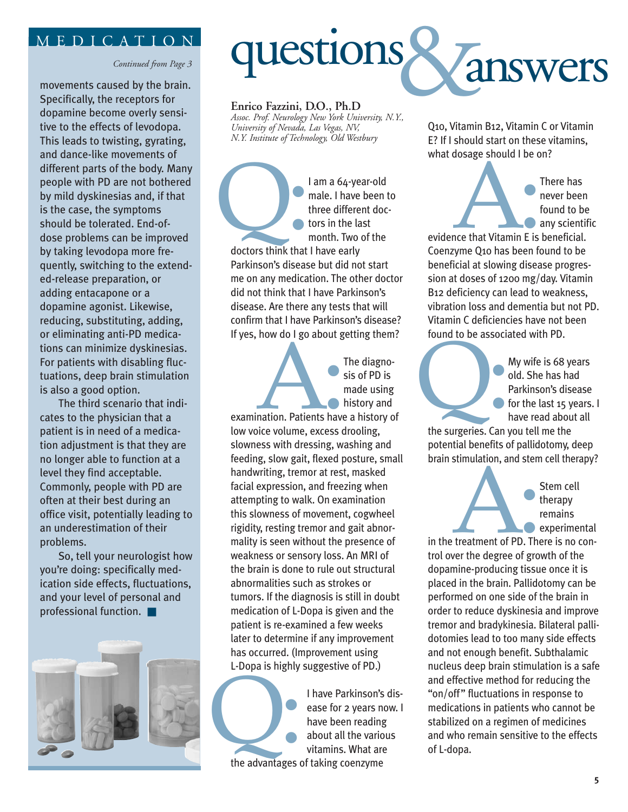#### MEDICATION

*Continued from Page 3*

movements caused by the brain. Specifically, the receptors for dopamine become overly sensitive to the effects of levodopa. This leads to twisting, gyrating, and dance-like movements of different parts of the body. Many people with PD are not bothered by mild dyskinesias and, if that is the case, the symptoms should be tolerated. End-ofdose problems can be improved by taking levodopa more frequently, switching to the extended-release preparation, or adding entacapone or a dopamine agonist. Likewise, reducing, substituting, adding, or eliminating anti-PD medications can minimize dyskinesias. For patients with disabling fluctuations, deep brain stimulation is also a good option.

The third scenario that indicates to the physician that a patient is in need of a medication adjustment is that they are no longer able to function at a level they find acceptable. Commonly, people with PD are often at their best during an office visit, potentially leading to an underestimation of their problems.

So, tell your neurologist how you're doing: specifically medication side effects, fluctuations, and your level of personal and professional function. ■





#### **Enrico Fazzini, D.O., Ph.D**

*Assoc. Prof. Neurology New York University, N.Y., University of Nevada, Las Vegas, NV, N.Y. Institute of Technology, Old Westbury*

I am a 64-year-old male. I have been to three different doctors in the last month. Two of the doctors think that

doctors think that I have early Parkinson's disease but did not start me on any medication. The other doctor did not think that I have Parkinson's disease. Are there any tests that will confirm that I have Parkinson's disease? If yes, how do I go about getting them?

> The diagnosis of PD is made using history and

examination. Patients have a history of low voice volume, excess drooling, slowness with dressing, washing and feeding, slow gait, flexed posture, small handwriting, tremor at rest, masked facial expression, and freezing when attempting to walk. On examination this slowness of movement, cogwheel rigidity, resting tremor and gait abnormality is seen without the presence of weakness or sensory loss. An MRI of the brain is done to rule out structural abnormalities such as strokes or tumors. If the diagnosis is still in doubt medication of L-Dopa is given and the patient is re-examined a few weeks later to determine if any improvement has occurred. (Improvement using L-Dopa is highly suggestive of PD.) Ination. Patients have

I have Parkinson's disease for 2 years now. I have been reading about all the various vitamins. What are the advantages of taking coenzyme the advantages of

Q10, Vitamin B12, Vitamin C or Vitamin E? If I should start on these vitamins, what dosage should I be on?

> There has never been found to be any scientific

evidence that Vitamin E is beneficial. Coenzyme Q10 has been found to be beneficial at slowing disease progression at doses of 1200 mg/day. Vitamin B12 deficiency can lead to weakness, vibration loss and dementia but not PD. Vitamin C deficiencies have not been found to be associated with PD. The Company of the Company of the Company of the Company of the Company of the Company of the Company of the Company of the Company of the Company of the Company of the Company of the Company of the Company of the Company

My wife is 68 years old. She has had Parkinson's disease for the last 15 years. I have read about all My wife is 68 y<br>
old. She has has<br>
Parkinson's dis<br>
for the last 15 y<br>
have read about<br>
the surgeries. Can you tell me the

potential benefits of pallidotomy, deep brain stimulation, and stem cell therapy?

> Stem cell therapy remains experimental

in the treatment of PD. There is no control over the degree of growth of the dopamine-producing tissue once it is placed in the brain. Pallidotomy can be performed on one side of the brain in order to reduce dyskinesia and improve tremor and bradykinesia. Bilateral pallidotomies lead to too many side effects and not enough benefit. Subthalamic nucleus deep brain stimulation is a safe and effective method for reducing the "on/off" fluctuations in response to medications in patients who cannot be stabilized on a regimen of medicines and who remain sensitive to the effects of L-dopa. external to the degree of group

**5**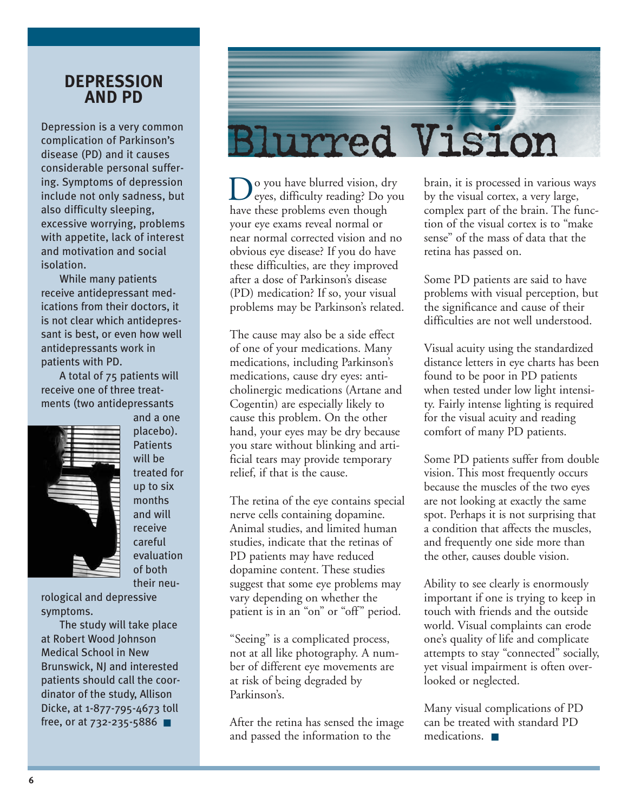#### **DEPRESSION AND PD**

Depression is a very common complication of Parkinson's disease (PD) and it causes considerable personal suffering. Symptoms of depression include not only sadness, but also difficulty sleeping, excessive worrying, problems with appetite, lack of interest and motivation and social isolation.

While many patients receive antidepressant medications from their doctors, it is not clear which antidepressant is best, or even how well antidepressants work in patients with PD.

A total of 75 patients will receive one of three treatments (two antidepressants and a one



placebo). **Patients** will be treated for up to six months and will receive careful evaluation of both their neu-

rological and depressive symptoms.

The study will take place at Robert Wood Johnson Medical School in New Brunswick, NJ and interested patients should call the coordinator of the study, Allison Dicke, at 1-877-795-4673 toll free, or at 732-235-5886 ■



o you have blurred vision, dry eyes, difficulty reading? Do you Do you have blurred vision, d<br>have these problems even though your eye exams reveal normal or near normal corrected vision and no obvious eye disease? If you do have these difficulties, are they improved after a dose of Parkinson's disease (PD) medication? If so, your visual problems may be Parkinson's related.

The cause may also be a side effect of one of your medications. Many medications, including Parkinson's medications, cause dry eyes: anticholinergic medications (Artane and Cogentin) are especially likely to cause this problem. On the other hand, your eyes may be dry because you stare without blinking and artificial tears may provide temporary relief, if that is the cause.

The retina of the eye contains special nerve cells containing dopamine. Animal studies, and limited human studies, indicate that the retinas of PD patients may have reduced dopamine content. These studies suggest that some eye problems may vary depending on whether the patient is in an "on" or "off" period.

"Seeing" is a complicated process, not at all like photography. A number of different eye movements are at risk of being degraded by Parkinson's.

After the retina has sensed the image and passed the information to the

brain, it is processed in various ways by the visual cortex, a very large, complex part of the brain. The function of the visual cortex is to "make sense" of the mass of data that the retina has passed on.

Some PD patients are said to have problems with visual perception, but the significance and cause of their difficulties are not well understood.

Visual acuity using the standardized distance letters in eye charts has been found to be poor in PD patients when tested under low light intensity. Fairly intense lighting is required for the visual acuity and reading comfort of many PD patients.

Some PD patients suffer from double vision. This most frequently occurs because the muscles of the two eyes are not looking at exactly the same spot. Perhaps it is not surprising that a condition that affects the muscles, and frequently one side more than the other, causes double vision.

Ability to see clearly is enormously important if one is trying to keep in touch with friends and the outside world. Visual complaints can erode one's quality of life and complicate attempts to stay "connected" socially, yet visual impairment is often overlooked or neglected.

Many visual complications of PD can be treated with standard PD medications. ■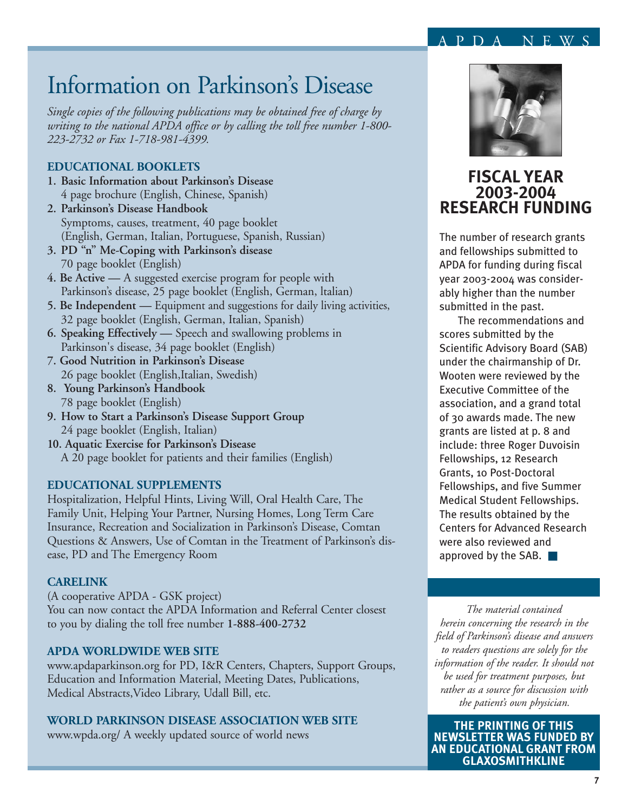#### PDA NEWS

### Information on Parkinson's Disease

*Single copies of the following publications may be obtained free of charge by writing to the national APDA office or by calling the toll free number 1-800- 223-2732 or Fax 1-718-981-4399.*

#### **EDUCATIONAL BOOKLETS**

- **1. Basic Information about Parkinson's Disease** 4 page brochure (English, Chinese, Spanish)
- **2. Parkinson's Disease Handbook** Symptoms, causes, treatment, 40 page booklet (English, German, Italian, Portuguese, Spanish, Russian)
- **3. PD "n" Me-Coping with Parkinson's disease** 70 page booklet (English)
- **4. Be Active** A suggested exercise program for people with Parkinson's disease, 25 page booklet (English, German, ltalian)
- **5. Be Independent —** Equipment and suggestions for daily living activities, 32 page booklet (English, German, Italian, Spanish)
- **6. Speaking Effectively —** Speech and swallowing problems in Parkinson's disease, 34 page booklet (English)
- **7. Good Nutrition in Parkinson's Disease** 26 page booklet (English,Italian, Swedish)
- **8. Young Parkinson's Handbook** 78 page booklet (English)
- **9. How to Start a Parkinson's Disease Support Group** 24 page booklet (English, Italian)
- **10. Aquatic Exercise for Parkinson's Disease** A 20 page booklet for patients and their families (English)

#### **EDUCATIONAL SUPPLEMENTS**

Hospitalization, Helpful Hints, Living Will, Oral Health Care, The Family Unit, Helping Your Partner, Nursing Homes, Long Term Care Insurance, Recreation and Socialization in Parkinson's Disease, Comtan Questions & Answers, Use of Comtan in the Treatment of Parkinson's disease, PD and The Emergency Room

#### **CARELINK**

(A cooperative APDA - GSK project) You can now contact the APDA Information and Referral Center closest to you by dialing the toll free number **1-888-400-2732**

#### **APDA WORLDWIDE WEB SITE**

www.apdaparkinson.org for PD, I&R Centers, Chapters, Support Groups, Education and Information Material, Meeting Dates, Publications, Medical Abstracts,Video Library, Udall Bill, etc.

#### **WORLD PARKINSON DISEASE ASSOCIATION WEB SITE**

www.wpda.org/ A weekly updated source of world news



#### **FISCAL YEAR 2003-2004 RESEARCH FUNDING**

The number of research grants and fellowships submitted to APDA for funding during fiscal year 2003-2004 was considerably higher than the number submitted in the past.

The recommendations and scores submitted by the Scientific Advisory Board (SAB) under the chairmanship of Dr. Wooten were reviewed by the Executive Committee of the association, and a grand total of 30 awards made. The new grants are listed at p. 8 and include: three Roger Duvoisin Fellowships, 12 Research Grants, 10 Post-Doctoral Fellowships, and five Summer Medical Student Fellowships. The results obtained by the Centers for Advanced Research were also reviewed and approved by the SAB. ■

*The material contained herein concerning the research in the field of Parkinson's disease and answers to readers questions are solely for the information of the reader. It should not be used for treatment purposes, but rather as a source for discussion with the patient's own physician.*

**THE PRINTING OF THIS NEWSLETTER WAS FUNDED BY AN EDUCATIONAL GRANT FROM GLAXOSMITHKLINE**